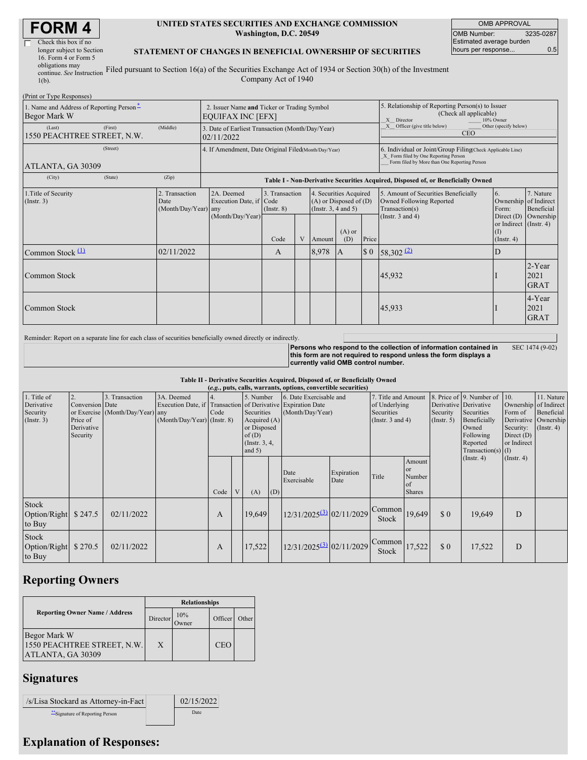| <b>FORM4</b> |  |
|--------------|--|
|--------------|--|

| Check this box if no      |   |
|---------------------------|---|
| longer subject to Section |   |
| 16. Form 4 or Form 5      |   |
| obligations may           |   |
| continue. See Instruction | F |

#### **UNITED STATES SECURITIES AND EXCHANGE COMMISSION Washington, D.C. 20549**

OMB APPROVAL OMB Number: 3235-0287 Estimated average burden hours per response... 6.5

### **STATEMENT OF CHANGES IN BENEFICIAL OWNERSHIP OF SECURITIES**

continue. *See* Instruction  $1(b)$ . Filed pursuant to Section 16(a) of the Securities Exchange Act of 1934 or Section 30(h) of the Investment Company Act of 1940

| (Print or Type Responses)                                |         |                                            |                                                                         |                                   |  |          |                                                                              |                                                                                                                                                    |                                                                                    |                                                                   |                               |  |  |
|----------------------------------------------------------|---------|--------------------------------------------|-------------------------------------------------------------------------|-----------------------------------|--|----------|------------------------------------------------------------------------------|----------------------------------------------------------------------------------------------------------------------------------------------------|------------------------------------------------------------------------------------|-------------------------------------------------------------------|-------------------------------|--|--|
| 1. Name and Address of Reporting Person-<br>Begor Mark W |         |                                            | 2. Issuer Name and Ticker or Trading Symbol<br><b>EQUIFAX INC [EFX]</b> |                                   |  |          |                                                                              | 5. Relationship of Reporting Person(s) to Issuer<br>(Check all applicable)<br>X Director<br>10% Owner                                              |                                                                                    |                                                                   |                               |  |  |
| (Last)<br>1550 PEACHTREE STREET, N.W.                    | (First) | (Middle)                                   | 3. Date of Earliest Transaction (Month/Day/Year)<br>02/11/2022          |                                   |  |          |                                                                              | X Officer (give title below)<br>Other (specify below)<br><b>CEO</b>                                                                                |                                                                                    |                                                                   |                               |  |  |
| (Street)<br>ATLANTA, GA 30309                            |         |                                            | 4. If Amendment, Date Original Filed(Month/Day/Year)                    |                                   |  |          |                                                                              | 6. Individual or Joint/Group Filing(Check Applicable Line)<br>X Form filed by One Reporting Person<br>Form filed by More than One Reporting Person |                                                                                    |                                                                   |                               |  |  |
| (City)                                                   | (State) | (Zip)                                      |                                                                         |                                   |  |          |                                                                              |                                                                                                                                                    | Table I - Non-Derivative Securities Acquired, Disposed of, or Beneficially Owned   |                                                                   |                               |  |  |
| 1. Title of Security<br>$($ Instr. 3 $)$                 |         | 2. Transaction<br>Date<br>(Month/Day/Year) | 2A. Deemed<br>Execution Date, if Code<br>any                            | 3. Transaction<br>$($ Instr. $8)$ |  |          | 4. Securities Acquired<br>$(A)$ or Disposed of $(D)$<br>(Insert. 3, 4 and 5) |                                                                                                                                                    | 5. Amount of Securities Beneficially<br>Owned Following Reported<br>Transaction(s) | 6.<br>Ownership of Indirect<br>Form:                              | 7. Nature<br>Beneficial       |  |  |
|                                                          |         |                                            | (Month/Day/Year)                                                        | Code                              |  | V Amount | $(A)$ or<br>(D)                                                              | Price                                                                                                                                              | (Instr. $3$ and $4$ )                                                              | Direct $(D)$<br>or Indirect (Instr. 4)<br>(I)<br>$($ Instr. 4 $)$ | Ownership                     |  |  |
| Common Stock $(1)$                                       |         | 02/11/2022                                 |                                                                         | A                                 |  | 8,978    | A                                                                            | \$0                                                                                                                                                | 58,302 $(2)$                                                                       | D                                                                 |                               |  |  |
| Common Stock                                             |         |                                            |                                                                         |                                   |  |          |                                                                              |                                                                                                                                                    | 45,932                                                                             |                                                                   | 2-Year<br>2021<br><b>GRAT</b> |  |  |
| Common Stock                                             |         |                                            |                                                                         |                                   |  |          |                                                                              |                                                                                                                                                    | 45,933                                                                             |                                                                   | 4-Year<br>2021<br><b>GRAT</b> |  |  |

Reminder: Report on a separate line for each class of securities beneficially owned directly or indirectly.

**Persons who respond to the collection of information contained in this form are not required to respond unless the form displays a currently valid OMB control number.** SEC 1474 (9-02)

**Table II - Derivative Securities Acquired, Disposed of, or Beneficially Owned**

|                                                           | (e.g., puts, calls, warrants, options, convertible securities) |                                                    |                                                                                                           |      |  |                                                                                                   |     |                                             |                    |                                                                             |                                                          |                                              |                  |                  |  |                                                                                                               |  |                                                                              |                                                                      |
|-----------------------------------------------------------|----------------------------------------------------------------|----------------------------------------------------|-----------------------------------------------------------------------------------------------------------|------|--|---------------------------------------------------------------------------------------------------|-----|---------------------------------------------|--------------------|-----------------------------------------------------------------------------|----------------------------------------------------------|----------------------------------------------|------------------|------------------|--|---------------------------------------------------------------------------------------------------------------|--|------------------------------------------------------------------------------|----------------------------------------------------------------------|
| 1. Title of<br>Derivative<br>Security<br>$($ Instr. 3 $)$ | Conversion Date<br>Price of<br>Derivative<br>Security          | 3. Transaction<br>or Exercise (Month/Day/Year) any | 3A. Deemed<br>Execution Date, if Transaction of Derivative Expiration Date<br>(Month/Day/Year) (Instr. 8) | Code |  | 5. Number<br>Securities<br>Acquired $(A)$<br>or Disposed<br>of(D)<br>(Instr. $3, 4$ ,<br>and $5)$ |     | 6. Date Exercisable and<br>(Month/Day/Year) |                    | 7. Title and Amount<br>of Underlying<br>Securities<br>(Instr. $3$ and $4$ ) |                                                          | Securities<br>Owned<br>Following<br>Reported |                  | Beneficially     |  | 8. Price of 9. Number of 10.<br>Derivative Derivative<br>Security<br>$($ Instr. 5 $)$<br>Transaction(s) $(I)$ |  | Ownership of Indirect<br>Form of<br>Security:<br>Direct $(D)$<br>or Indirect | 11. Nature<br>Beneficial<br>Derivative Ownership<br>$($ Instr. 4 $)$ |
|                                                           |                                                                |                                                    |                                                                                                           | Code |  | (A)                                                                                               | (D) | Date<br>Exercisable                         | Expiration<br>Date | Title                                                                       | Amount<br><sub>or</sub><br>Number<br>of<br><b>Shares</b> |                                              | $($ Instr. 4 $)$ | $($ Instr. 4 $)$ |  |                                                                                                               |  |                                                                              |                                                                      |
| Stock<br>Option/Right<br>to Buy                           | \$247.5                                                        | 02/11/2022                                         |                                                                                                           | A    |  | 19.649                                                                                            |     | 12/31/2025 <sup>(3)</sup> 02/11/2029        |                    | Common<br><b>Stock</b>                                                      | 19,649                                                   | \$0                                          | 19,649           | D                |  |                                                                                                               |  |                                                                              |                                                                      |
| Stock<br>Option/Right<br>to Buy                           | \$270.5                                                        | 02/11/2022                                         |                                                                                                           | A    |  | 17,522                                                                                            |     | $12/31/2025^{(3)}$ 02/11/2029               |                    | Common<br>Stock                                                             | 17,522                                                   | \$0                                          | 17,522           | D                |  |                                                                                                               |  |                                                                              |                                                                      |

## **Reporting Owners**

|                                                                  | <b>Relationships</b> |                      |            |       |  |  |  |
|------------------------------------------------------------------|----------------------|----------------------|------------|-------|--|--|--|
| <b>Reporting Owner Name / Address</b>                            | Director             | 10%<br><b>J</b> wner | Officer    | Other |  |  |  |
| Begor Mark W<br>1550 PEACHTREE STREET, N.W.<br>ATLANTA, GA 30309 | X                    |                      | <b>CEO</b> |       |  |  |  |

# **Signatures**

| /s/Lisa Stockard as Attorney-in-Fact        | 02/15/2022 |
|---------------------------------------------|------------|
| <sup>**</sup> Signature of Reporting Person | Date:      |

# **Explanation of Responses:**